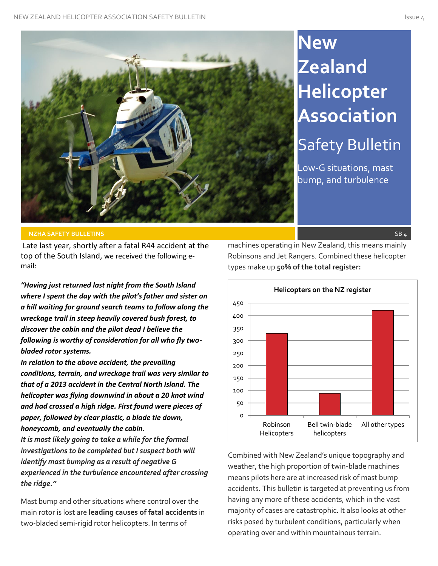

# **New Zealand Helicopter Association** Safety Bulletin

Low-G situations, mast bump, and turbulence

#### **NZHA SAFETY BULLETINS** SB 4

Late last year, shortly after a fatal R44 accident at the top of the South Island, we received the following email:

*"Having just returned last night from the South Island where I spent the day with the pilot's father and sister on a hill waiting for ground search teams to follow along the wreckage trail in steep heavily covered bush forest, to discover the cabin and the pilot dead I believe the following is worthy of consideration for all who fly twobladed rotor systems.* 

*In relation to the above accident, the prevailing conditions, terrain, and wreckage trail was very similar to that of a 2013 accident in the Central North Island. The helicopter was flying downwind in about a 20 knot wind and had crossed a high ridge. First found were pieces of paper, followed by clear plastic, a blade tie down, honeycomb, and eventually the cabin.* 

*It is most likely going to take a while for the formal investigations to be completed but I suspect both will identify mast bumping as a result of negative G experienced in the turbulence encountered after crossing the ridge."*

Mast bump and other situations where control over the main rotor is lost are **leading causes of fatal accidents** in two-bladed semi-rigid rotor helicopters. In terms of

machines operating in New Zealand, this means mainly Robinsons and Jet Rangers. Combined these helicopter types make up **50% of the total register:**



Combined with New Zealand's unique topography and weather, the high proportion of twin-blade machines means pilots here are at increased risk of mast bump accidents. This bulletin is targeted at preventing us from having any more of these accidents, which in the vast majority of cases are catastrophic. It also looks at other risks posed by turbulent conditions, particularly when operating over and within mountainous terrain.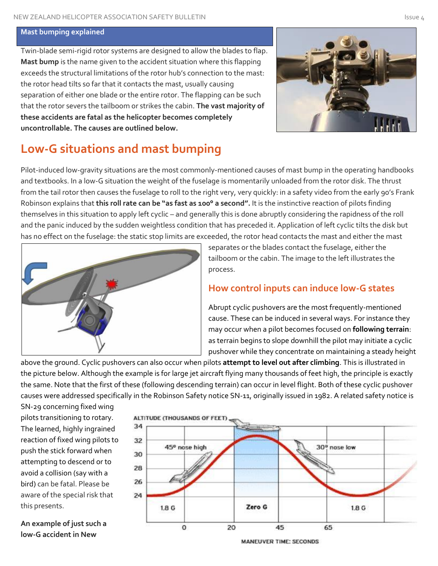#### **Mast bumping explained**

Twin-blade semi-rigid rotor systems are designed to allow the blades to flap. **Mast bump** is the name given to the accident situation where this flapping exceeds the structural limitations of the rotor hub's connection to the mast: the rotor head tilts so far that it contacts the mast, usually causing separation of either one blade or the entire rotor. The flapping can be such that the rotor severs the tailboom or strikes the cabin. **The vast majority of these accidents are fatal as the helicopter becomes completely uncontrollable. The causes are outlined below.**



# **Low-G situations and mast bumping**

Pilot-induced low-gravity situations are the most commonly-mentioned causes of mast bump in the operating handbooks and textbooks. In a low-G situation the weight of the fuselage is momentarily unloaded from the rotor disk. The thrust from the tail rotor then causes the fuselage to roll to the right very, very quickly: in a safety video from the early 90's Frank Robinson explains that **this roll rate can be "as fast as 100° a second".** It is the instinctive reaction of pilots finding themselves in this situation to apply left cyclic – and generally this is done abruptly considering the rapidness of the roll and the panic induced by the sudden weightless condition that has preceded it. Application of left cyclic tilts the disk but has no effect on the fuselage: the static stop limits are exceeded, the rotor head contacts the mast and either the mast



separates or the blades contact the fuselage, either the tailboom or the cabin. The image to the left illustrates the process.

## **How control inputs can induce low-G states**

Abrupt cyclic pushovers are the most frequently-mentioned cause. These can be induced in several ways. For instance they may occur when a pilot becomes focused on **following terrain**: as terrain begins to slope downhill the pilot may initiate a cyclic pushover while they concentrate on maintaining a steady height

above the ground. Cyclic pushovers can also occur when pilots **attempt to level out after climbing**. This is illustrated in the picture below. Although the example is for large jet aircraft flying many thousands of feet high, the principle is exactly the same. Note that the first of these (following descending terrain) can occur in level flight. Both of these cyclic pushover causes were addressed specifically in the Robinson Safety notice SN-11, originally issued in 1982. A related safety notice is

SN-29 concerning fixed wing pilots transitioning to rotary. The learned, highly ingrained reaction of fixed wing pilots to push the stick forward when attempting to descend or to avoid a collision (say with a bird) can be fatal. Please be aware of the special risk that this presents.

**An example of just such a low-G accident in New** 



**MANEUVER TIME: SECONDS**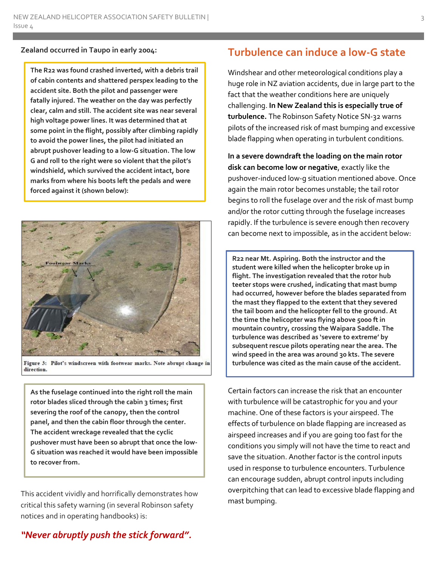#### **Zealand occurred in Taupo in early 2004:**

**The R22 was found crashed inverted, with a debris trail of cabin contents and shattered perspex leading to the accident site. Both the pilot and passenger were fatally injured. The weather on the day was perfectly clear, calm and still. The accident site was near several high voltage power lines. It was determined that at some point in the flight, possibly after climbing rapidly to avoid the power lines, the pilot had initiated an abrupt pushover leading to a low-G situation. The low G and roll to the right were so violent that the pilot's windshield, which survived the accident intact, bore marks from where his boots left the pedals and were forced against it (shown below):**



Figure 3: Pilot's windscreen with footwear marks. Note abrupt change in direction.

**As the fuselage continued into the right roll the main rotor blades sliced through the cabin 3 times; first severing the roof of the canopy, then the control panel, and then the cabin floor through the center. The accident wreckage revealed that the cyclic pushover must have been so abrupt that once the low-G situation was reached it would have been impossible to recover from.**

This accident vividly and horrifically demonstrates how critical this safety warning (in several Robinson safety notices and in operating handbooks) is:

## **Turbulence can induce a low-G state**

Windshear and other meteorological conditions play a huge role in NZ aviation accidents, due in large part to the fact that the weather conditions here are uniquely challenging. **In New Zealand this is especially true of turbulence.** The Robinson Safety Notice SN-32 warns pilots of the increased risk of mast bumping and excessive blade flapping when operating in turbulent conditions.

**In a severe downdraft the loading on the main rotor disk can become low or negative**, exactly like the pushover-induced low-g situation mentioned above. Once again the main rotor becomes unstable; the tail rotor begins to roll the fuselage over and the risk of mast bump and/or the rotor cutting through the fuselage increases rapidly. If the turbulence is severe enough then recovery can become next to impossible, as in the accident below:

**R22 near Mt. Aspiring. Both the instructor and the student were killed when the helicopter broke up in flight. The investigation revealed that the rotor hub teeter stops were crushed, indicating that mast bump had occurred, however before the blades separated from the mast they flapped to the extent that they severed the tail boom and the helicopter fell to the ground. At the time the helicopter was flying above 5000 ft in mountain country, crossing the Waipara Saddle. The turbulence was described as 'severe to extreme' by subsequent rescue pilots operating near the area. The wind speed in the area was around 30 kts. The severe turbulence was cited as the main cause of the accident.**

Certain factors can increase the risk that an encounter with turbulence will be catastrophic for you and your machine. One of these factors is your airspeed. The effects of turbulence on blade flapping are increased as airspeed increases and if you are going too fast for the conditions you simply will not have the time to react and save the situation. Another factor is the control inputs used in response to turbulence encounters. Turbulence can encourage sudden, abrupt control inputs including overpitching that can lead to excessive blade flapping and mast bumping.

## *"Never abruptly push the stick forward".*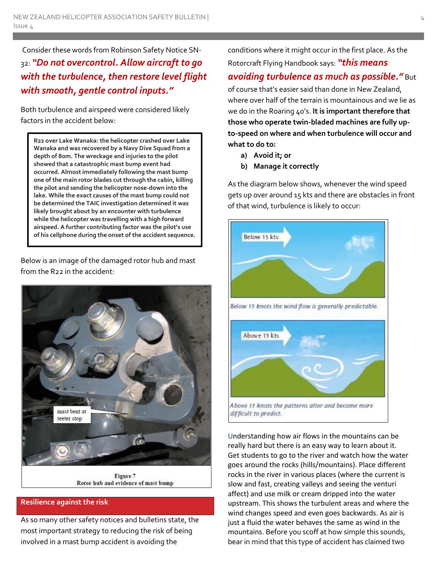Consider these words from Robinson Safety Notice SN-32: *"Do not overcontrol. Allow aircraft to go with the turbulence, then restore level flight with smooth, gentle control inputs."*

Both turbulence and airspeed were considered likely factors in the accident below:

**R22 over Lake Wanaka: the helicopter crashed over Lake Wanaka and was recovered by a Navy Dive Squad from a depth of 80m. The wreckage and injuries to the pilot showed that a catastrophic mast bump event had occurred. Almost immediately following the mast bump one of the main rotor blades cut through the cabin, killing the pilot and sending the helicopter nose-down into the lake. While the exact causes of the mast bump could not be determined the TAIC investigation determined it was likely brought about by an encounter with turbulence while the helicopter was travelling with a high forward airspeed. A further contributing factor was the pilot's use of his cellphone during the onset of the accident sequence.**

Below is an image of the damaged rotor hub and mast from the R22 in the accident:



Rotor hub and evidence of mast bump

#### **Resilience against the risk**

As so many other safety notices and bulletins state, the most important strategy to reducing the risk of being involved in a mast bump accident is avoiding the

conditions where it might occur in the first place. As the Rotorcraft Flying Handbook says: *"this means avoiding turbulence as much as possible."* But of course that's easier said than done in New Zealand, where over half of the terrain is mountainous and we lie as we do in the Roaring 40's. **It is important therefore that those who operate twin-bladed machines are fully upto-speed on where and when turbulence will occur and what to do to:**

- **a) Avoid it; or**
- **b) Manage it correctly**

As the diagram below shows, whenever the wind speed gets up over around 15 kts and there are obstacles in front of that wind, turbulence is likely to occur:



Understanding how air flows in the mountains can be really hard but there is an easy way to learn about it. Get students to go to the river and watch how the water goes around the rocks (hills/mountains). Place different rocks in the river in various places (where the current is slow and fast, creating valleys and seeing the venturi affect) and use milk or cream dripped into the water upstream. This shows the turbulent areas and where the wind changes speed and even goes backwards. As air is just a fluid the water behaves the same as wind in the mountains. Before you scoff at how simple this sounds, bear in mind that this type of accident has claimed two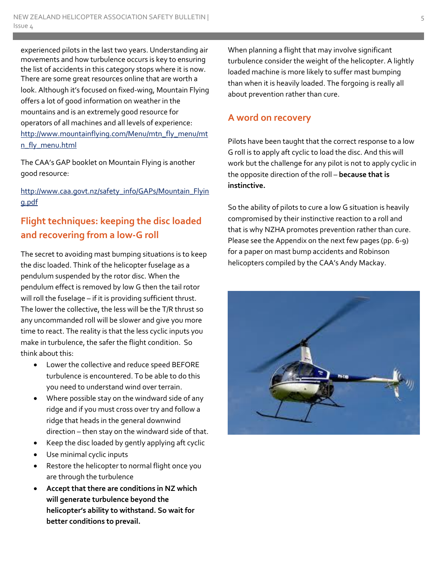experienced pilots in the last two years. Understanding air movements and how turbulence occurs is key to ensuring the list of accidents in this category stops where it is now. There are some great resources online that are worth a look. Although it's focused on fixed-wing, Mountain Flying offers a lot of good information on weather in the mountains and is an extremely good resource for operators of all machines and all levels of experience: [http://www.mountainflying.com/Menu/mtn\\_fly\\_menu/mt](http://www.mountainflying.com/Menu/mtn_fly_menu/mtn_fly_menu.html) [n\\_fly\\_menu.html](http://www.mountainflying.com/Menu/mtn_fly_menu/mtn_fly_menu.html)

The CAA's GAP booklet on Mountain Flying is another good resource:

### [http://www.caa.govt.nz/safety\\_info/GAPs/Mountain\\_Flyin](http://www.caa.govt.nz/safety_info/GAPs/Mountain_Flying.pdf) [g.pdf](http://www.caa.govt.nz/safety_info/GAPs/Mountain_Flying.pdf)

# **Flight techniques: keeping the disc loaded and recovering from a low-G roll**

The secret to avoiding mast bumping situations is to keep the disc loaded. Think of the helicopter fuselage as a pendulum suspended by the rotor disc. When the pendulum effect is removed by low G then the tail rotor will roll the fuselage – if it is providing sufficient thrust. The lower the collective, the less will be the T/R thrust so any uncommanded roll will be slower and give you more time to react. The reality is that the less cyclic inputs you make in turbulence, the safer the flight condition. So think about this:

- Lower the collective and reduce speed BEFORE turbulence is encountered. To be able to do this you need to understand wind over terrain.
- Where possible stay on the windward side of any ridge and if you must cross over try and follow a ridge that heads in the general downwind direction – then stay on the windward side of that.
- Keep the disc loaded by gently applying aft cyclic
- Use minimal cyclic inputs
- Restore the helicopter to normal flight once you are through the turbulence
- **Accept that there are conditions in NZ which will generate turbulence beyond the helicopter's ability to withstand. So wait for better conditions to prevail.**

When planning a flight that may involve significant turbulence consider the weight of the helicopter. A lightly loaded machine is more likely to suffer mast bumping than when it is heavily loaded. The forgoing is really all about prevention rather than cure.

## **A word on recovery**

Pilots have been taught that the correct response to a low G roll is to apply aft cyclic to load the disc. And this will work but the challenge for any pilot is not to apply cyclic in the opposite direction of the roll – **because that is instinctive.**

So the ability of pilots to cure a low G situation is heavily compromised by their instinctive reaction to a roll and that is why NZHA promotes prevention rather than cure. Please see the Appendix on the next few pages (pp. 6-9) for a paper on mast bump accidents and Robinson helicopters compiled by the CAA's Andy Mackay.

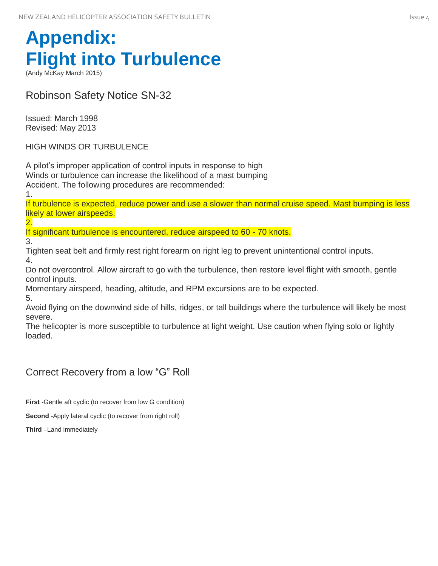# **Appendix: Flight into Turbulence**

(Andy McKay March 2015)

Robinson Safety Notice SN-32

Issued: March 1998 Revised: May 2013

HIGH WINDS OR TURBULENCE

A pilot's improper application of control inputs in response to high Winds or turbulence can increase the likelihood of a mast bumping Accident. The following procedures are recommended:

1.

If turbulence is expected, reduce power and use a slower than normal cruise speed. Mast bumping is less likely at lower airspeeds.

2.

If significant turbulence is encountered, reduce airspeed to 60 - 70 knots.

3.

Tighten seat belt and firmly rest right forearm on right leg to prevent unintentional control inputs. 4.

Do not overcontrol. Allow aircraft to go with the turbulence, then restore level flight with smooth, gentle control inputs.

Momentary airspeed, heading, altitude, and RPM excursions are to be expected.

5.

Avoid flying on the downwind side of hills, ridges, or tall buildings where the turbulence will likely be most severe.

The helicopter is more susceptible to turbulence at light weight. Use caution when flying solo or lightly loaded.

## Correct Recovery from a low "G" Roll

**First** -Gentle aft cyclic (to recover from low G condition)

**Second** -Apply lateral cyclic (to recover from right roll)

**Third** –Land immediately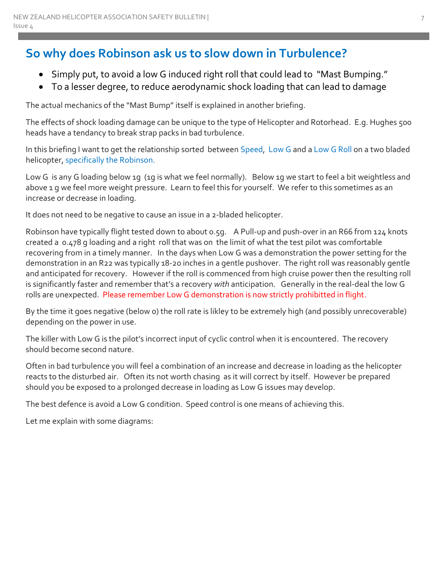# **So why does Robinson ask us to slow down in Turbulence?**

- Simply put, to avoid a low G induced right roll that could lead to "Mast Bumping."
- To a lesser degree, to reduce aerodynamic shock loading that can lead to damage

The actual mechanics of the "Mast Bump" itself is explained in another briefing.

The effects of shock loading damage can be unique to the type of Helicopter and Rotorhead. E.g. Hughes 500 heads have a tendancy to break strap packs in bad turbulence.

In this briefing I want to get the relationship sorted between Speed, Low G and a Low G Roll on a two bladed helicopter, specifically the Robinson.

Low G is any G loading below 1g (1g is what we feel normally). Below 1g we start to feel a bit weightless and above 1 g we feel more weight pressure. Learn to feel this for yourself. We refer to this sometimes as an increase or decrease in loading.

It does not need to be negative to cause an issue in a 2-bladed helicopter.

Robinson have typically flight tested down to about 0.5g. A Pull-up and push-over in an R66 from 124 knots created a 0.478 g loading and a right roll that was on the limit of what the test pilot was comfortable recovering from in a timely manner. In the days when Low G was a demonstration the power setting for the demonstration in an R22 was typically 18-20 inches in a gentle pushover. The right roll was reasonably gentle and anticipated for recovery. However if the roll is commenced from high cruise power then the resulting roll is significantly faster and remember that's a recovery *with* anticipation. Generally in the real-deal the low G rolls are unexpected. Please remember Low G demonstration is now strictly prohibitted in flight.

By the time it goes negative (below 0) the roll rate is likley to be extremely high (and possibly unrecoverable) depending on the power in use.

The killer with Low G is the pilot's incorrect input of cyclic control when it is encountered. The recovery should become second nature.

Often in bad turbulence you will feel a combination of an increase and decrease in loading as the helicopter reacts to the disturbed air. Often its not worth chasing as it will correct by itself. However be prepared should you be exposed to a prolonged decrease in loading as Low G issues may develop.

The best defence is avoid a Low G condition. Speed control is one means of achieving this.

Let me explain with some diagrams: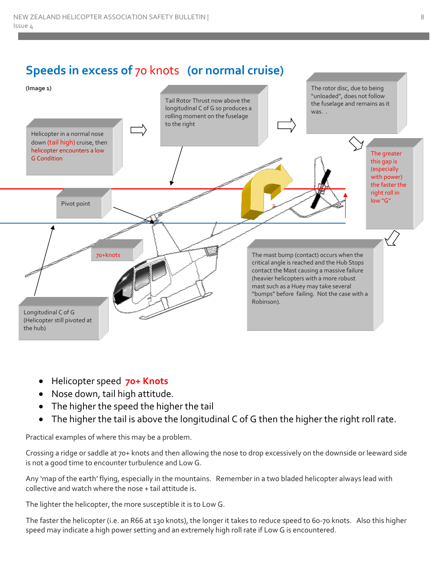# **Speeds in excess of** 70 knots **(or normal cruise)**



- Helicopter speed **70+ Knots**
- Nose down, tail high attitude.
- The higher the speed the higher the tail
- The higher the tail is above the longitudinal C of G then the higher the right roll rate.

Practical examples of where this may be a problem.

Crossing a ridge or saddle at 70+ knots and then allowing the nose to drop excessively on the downside or leeward side is not a good time to encounter turbulence and Low G.

Any 'map of the earth' flying, especially in the mountains. Remember in a two bladed helicopter always lead with collective and watch where the nose + tail attitude is.

The lighter the helicopter, the more susceptible it is to Low G.

The faster the helicopter (i.e. an R66 at 130 knots), the longer it takes to reduce speed to 60-70 knots. Also this higher speed may indicate a high power setting and an extremely high roll rate if Low G is encountered.